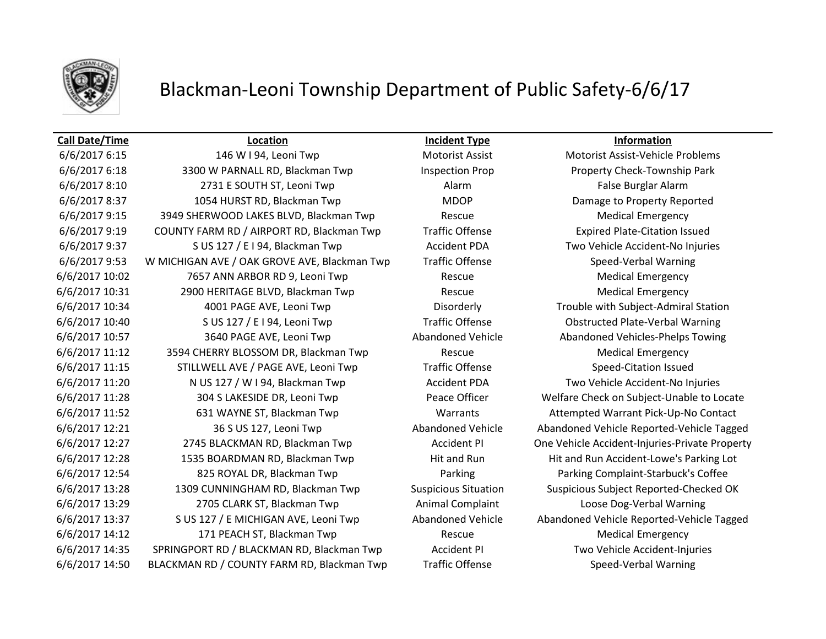

## Blackman-Leoni Township Department of Public Safety-6/6/17

## **Call Date/Time Location Incident Type Information**

6/6/2017 6:18 3300 W PARNALL RD, Blackman Twp Inspection Prop Property Check-Township Park 6/6/2017 8:10 2731 E SOUTH ST, Leoni Twp Alarm Alarm Alarm False Burglar Alarm 6/6/2017 8:37 1054 HURST RD, Blackman Twp MDOP Damage to Property Reported 6/6/2017 9:15 3949 SHERWOOD LAKES BLVD, Blackman Twp Rescue Rescue Medical Emergency 6/6/2017 9:19 COUNTY FARM RD / AIRPORT RD, Blackman Twp Traffic Offense Expired Plate-Citation Issued 6/6/2017 9:37 S US 127 / E I 94, Blackman Twp Accident PDA Two Vehicle Accident-No Injuries 6/6/2017 9:53 W MICHIGAN AVE / OAK GROVE AVE, Blackman Twp Traffic Offense Speed-Verbal Warning 6/6/2017 10:02 7657 ANN ARBOR RD 9, Leoni Twp Rescue Medical Emergency 6/6/2017 10:31 2900 HERITAGE BLVD, Blackman Twp Rescue Medical Emergency 6/6/2017 10:34 4001 PAGE AVE, Leoni Twp Disorderly Trouble with Subject-Admiral Station 6/6/2017 10:40 S US 127 / E I 94, Leoni Twp Traffic Offense Obstructed Plate-Verbal Warning 6/6/2017 10:57 3640 PAGE AVE, Leoni Twp Abandoned Vehicle Abandoned Vehicles-Phelps Towing 6/6/2017 11:12 3594 CHERRY BLOSSOM DR, Blackman Twp Rescue Medical Emergency 6/6/2017 11:15 STILLWELL AVE / PAGE AVE, Leoni Twp Traffic Offense Speed-Citation Issued 6/6/2017 11:20 N US 127 / W I 94, Blackman Twp Accident PDA Two Vehicle Accident-No Injuries 6/6/2017 11:28 304 S LAKESIDE DR, Leoni Twp Peace Officer Welfare Check on Subject-Unable to Locate 6/6/2017 11:52 631 WAYNE ST, Blackman Twp Warrants Attempted Warrant Pick-Up-No Contact 6/6/2017 12:21 36 S US 127, Leoni Twp Abandoned Vehicle Abandoned Vehicle Reported-Vehicle Tagged 6/6/2017 12:27 2745 BLACKMAN RD, Blackman Twp Accident PI One Vehicle Accident-Injuries-Private Property 6/6/2017 12:28 1535 BOARDMAN RD, Blackman Twp Hit and Run Hit and Run Accident-Lowe's Parking Lot 6/6/2017 12:54 825 ROYAL DR, Blackman Twp Parking Parking Complaint-Starbuck's Coffee 6/6/2017 13:28 1309 CUNNINGHAM RD, Blackman Twp Suspicious Situation Suspicious Subject Reported-Checked OK 6/6/2017 13:29 2705 CLARK ST, Blackman Twp Animal Complaint Loose Dog-Verbal Warning 6/6/2017 13:37 S US 127 / E MICHIGAN AVE, Leoni Twp Abandoned Vehicle Abandoned Vehicle Reported-Vehicle Tagged 6/6/2017 14:12 171 PEACH ST, Blackman Twp Rescue Medical Emergency 6/6/2017 14:35 SPRINGPORT RD / BLACKMAN RD, Blackman Twp Accident PI Two Vehicle Accident-Injuries 6/6/2017 14:50 BLACKMAN RD / COUNTY FARM RD, Blackman Twp Traffic Offense Speed-Verbal Warning

6/6/2017 6:15 146 W I 94, Leoni Twp Motorist Assist Motorist Assist Motorist Assist-Vehicle Problems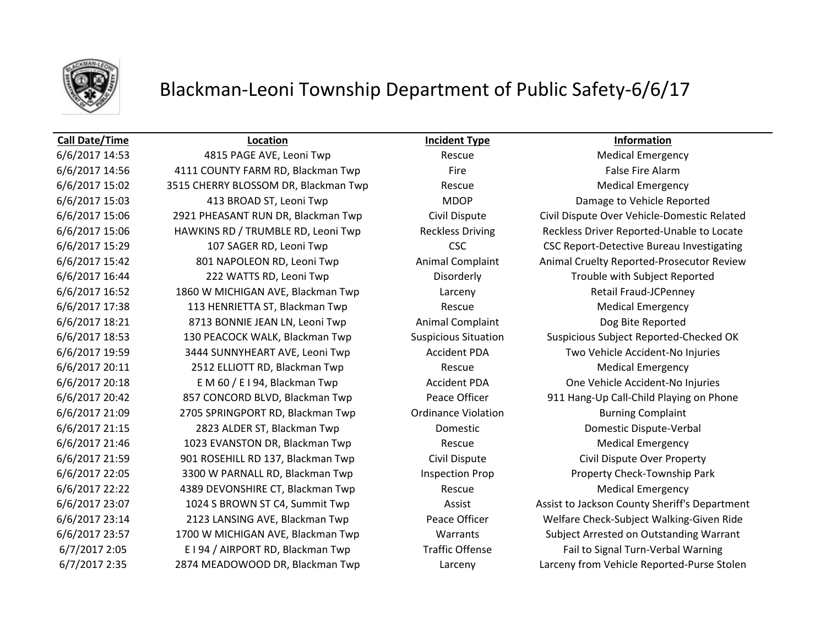

## Blackman-Leoni Township Department of Public Safety-6/6/17

## **Call Date/Time Location Incident Type Information**

6/6/2017 14:56 4111 COUNTY FARM RD, Blackman Twp Fire False Fire Alarm 6/6/2017 15:02 3515 CHERRY BLOSSOM DR, Blackman Twp Rescue Medical Emergency 6/6/2017 15:03 413 BROAD ST, Leoni Twp MDOP Damage to Vehicle Reported 6/6/2017 16:44 222 WATTS RD, Leoni Twp Disorderly Trouble with Subject Reported 6/6/2017 16:52 1860 W MICHIGAN AVE, Blackman Twp Larceny Retail Fraud-JCPenney 6/6/2017 17:38 113 HENRIETTA ST, Blackman Twp Rescue Medical Emergency 6/6/2017 18:21 8713 BONNIE JEAN LN, Leoni Twp Animal Complaint Dog Bite Reported 6/6/2017 19:59 3444 SUNNYHEART AVE, Leoni Twp Accident PDA Two Vehicle Accident-No Injuries 6/6/2017 20:11 2512 ELLIOTT RD, Blackman Twp Rescue Medical Emergency 6/6/2017 20:18 E M 60 / E I 94, Blackman Twp Accident PDA One Vehicle Accident-No Injuries 6/6/2017 21:09 2705 SPRINGPORT RD, Blackman Twp Cordinance Violation Burning Complaint 6/6/2017 21:15 2823 ALDER ST, Blackman Twp Domestic Domestic Dispute-Verbal 6/6/2017 21:46 1023 EVANSTON DR, Blackman Twp Rescue Medical Emergency 6/6/2017 21:59 901 ROSEHILL RD 137, Blackman Twp Civil Dispute Civil Dispute Over Property 6/6/2017 22:05 3300 W PARNALL RD, Blackman Twp Inspection Prop Property Check-Township Park 6/6/2017 22:22 4389 DEVONSHIRE CT, Blackman Twp Rescue Medical Emergency 6/7/2017 2:05 E I 94 / AIRPORT RD, Blackman Twp Traffic Offense Fail to Signal Turn-Verbal Warning

6/6/2017 14:53 4815 PAGE AVE, Leoni Twp Rescue Medical Emergency 6/6/2017 15:06 2921 PHEASANT RUN DR, Blackman Twp Civil Dispute Civil Dispute Over Vehicle-Domestic Related 6/6/2017 15:06 HAWKINS RD / TRUMBLE RD, Leoni Twp Reckless Driving Reckless Driver Reported-Unable to Locate 6/6/2017 15:29 107 SAGER RD, Leoni Twp CSC CSC CSC Report-Detective Bureau Investigating 6/6/2017 15:42 801 NAPOLEON RD, Leoni Twp Animal Complaint Animal Cruelty Reported-Prosecutor Review 6/6/2017 18:53 130 PEACOCK WALK, Blackman Twp Suspicious Situation Suspicious Subject Reported-Checked OK 6/6/2017 20:42 857 CONCORD BLVD, Blackman Twp Peace Officer 911 Hang-Up Call-Child Playing on Phone 6/6/2017 23:07 1024 S BROWN ST C4, Summit Twp Assist Assist to Jackson County Sheriff's Department 6/6/2017 23:14 2123 LANSING AVE, Blackman Twp Peace Officer Welfare Check-Subject Walking-Given Ride 6/6/2017 23:57 1700 W MICHIGAN AVE, Blackman Twp Warrants Subject Arrested on Outstanding Warrant 6/7/2017 2:35 2874 MEADOWOOD DR, Blackman Twp Larceny Larceny from Vehicle Reported-Purse Stolen